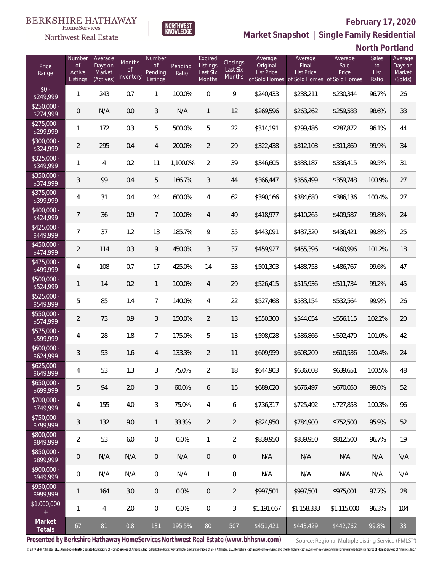

## **February 17, 2020**

**Market Snapshot | Single Family Residential**

### **North Portland**

| Price<br>Range            | Number<br>of<br>Active<br>Listings | Average<br>Days on<br>Market<br>(Actives) | Months<br>Οf<br>Inventory | Number<br><b>of</b><br>Pending<br>Listings | Pending<br>Ratio | Expired<br>Listings<br>Last Six<br>Months | Closings<br>Last Six<br>Months | Average<br>Original<br><b>List Price</b> | Average<br>Final<br>List Price<br>of Sold Homes of Sold Homes of Sold Homes | Average<br>Sale<br>Price | Sales<br>to<br>List<br>Ratio | Average<br>Days on<br>Market<br>(Solds) |
|---------------------------|------------------------------------|-------------------------------------------|---------------------------|--------------------------------------------|------------------|-------------------------------------------|--------------------------------|------------------------------------------|-----------------------------------------------------------------------------|--------------------------|------------------------------|-----------------------------------------|
| $$0 -$<br>\$249,999       | $\mathbf{1}$                       | 243                                       | 0.7                       | $\mathbf{1}$                               | 100.0%           | $\Omega$                                  | 9                              | \$240,433                                | \$238,211                                                                   | \$230,344                | 96.7%                        | 26                                      |
| $$250,000 -$<br>\$274,999 | 0                                  | N/A                                       | 0.0                       | 3                                          | N/A              | $\mathbf{1}$                              | 12                             | \$269,596                                | \$263,262                                                                   | \$259,583                | 98.6%                        | 33                                      |
| $$275,000 -$<br>\$299,999 | $\mathbf{1}$                       | 172                                       | 0.3                       | 5                                          | 500.0%           | 5                                         | 22                             | \$314,191                                | \$299,486                                                                   | \$287,872                | 96.1%                        | 44                                      |
| $$300,000 -$<br>\$324,999 | $\overline{2}$                     | 295                                       | 0.4                       | 4                                          | 200.0%           | 2                                         | 29                             | \$322,438                                | \$312,103                                                                   | \$311,869                | 99.9%                        | 34                                      |
| $$325,000 -$<br>\$349,999 | 1                                  | $\overline{4}$                            | 0.2                       | 11                                         | 1,100.0%         | $\overline{2}$                            | 39                             | \$346,605                                | \$338,187                                                                   | \$336,415                | 99.5%                        | 31                                      |
| $$350,000 -$<br>\$374,999 | 3                                  | 99                                        | 0.4                       | 5                                          | 166.7%           | 3                                         | 44                             | \$366,447                                | \$356,499                                                                   | \$359,748                | 100.9%                       | 27                                      |
| $$375,000 -$<br>\$399,999 | 4                                  | 31                                        | 0.4                       | 24                                         | 600.0%           | $\overline{4}$                            | 62                             | \$390,166                                | \$384,680                                                                   | \$386,136                | 100.4%                       | 27                                      |
| $$400,000 -$<br>\$424,999 | $\overline{7}$                     | 36                                        | 0.9                       | $7\overline{ }$                            | 100.0%           | $\overline{4}$                            | 49                             | \$418,977                                | \$410,265                                                                   | \$409,587                | 99.8%                        | 24                                      |
| $$425,000 -$<br>\$449,999 | 7                                  | 37                                        | 1.2                       | 13                                         | 185.7%           | 9                                         | 35                             | \$443,091                                | \$437,320                                                                   | \$436,421                | 99.8%                        | 25                                      |
| $$450,000 -$<br>\$474,999 | $\overline{2}$                     | 114                                       | 0.3                       | 9                                          | 450.0%           | 3                                         | 37                             | \$459,927                                | \$455,396                                                                   | \$460,996                | 101.2%                       | 18                                      |
| $$475,000 -$<br>\$499,999 | $\overline{4}$                     | 108                                       | 0.7                       | 17                                         | 425.0%           | 14                                        | 33                             | \$501,303                                | \$488,753                                                                   | \$486,767                | 99.6%                        | 47                                      |
| $$500,000 -$<br>\$524,999 | $\mathbf{1}$                       | 14                                        | 0.2                       | $\mathbf{1}$                               | 100.0%           | $\overline{4}$                            | 29                             | \$526,415                                | \$515,936                                                                   | \$511,734                | 99.2%                        | 45                                      |
| $$525,000 -$<br>\$549,999 | 5                                  | 85                                        | 1.4                       | $\overline{7}$                             | 140.0%           | $\overline{4}$                            | 22                             | \$527,468                                | \$533,154                                                                   | \$532,564                | 99.9%                        | 26                                      |
| $$550,000 -$<br>\$574,999 | $\overline{2}$                     | 73                                        | 0.9                       | 3                                          | 150.0%           | $\overline{2}$                            | 13                             | \$550,300                                | \$544,054                                                                   | \$556,115                | 102.2%                       | 20                                      |
| $$575,000 -$<br>\$599,999 | 4                                  | 28                                        | 1.8                       | $7\overline{ }$                            | 175.0%           | 5                                         | 13                             | \$598,028                                | \$586,866                                                                   | \$592,479                | 101.0%                       | 42                                      |
| $$600,000 -$<br>\$624,999 | 3                                  | 53                                        | 1.6                       | $\overline{4}$                             | 133.3%           | $\overline{2}$                            | 11                             | \$609,959                                | \$608,209                                                                   | \$610,536                | 100.4%                       | 24                                      |
| $$625,000 -$<br>\$649,999 | $\overline{4}$                     | 53                                        | 1.3                       | 3                                          | 75.0%            | $\overline{2}$                            | 18                             | \$644,903                                | \$636,608                                                                   | \$639,651                | 100.5%                       | 48                                      |
| $$650,000 -$<br>\$699,999 | 5                                  | 94                                        | 2.0                       | 3                                          | 60.0%            | 6                                         | 15                             | \$689,620                                | \$676,497                                                                   | \$670,050                | 99.0%                        | 52                                      |
| $$700,000 -$<br>\$749,999 | 4                                  | 155                                       | 4.0                       | $\mathfrak{Z}$                             | 75.0%            | $\overline{4}$                            | 6                              | \$736,317                                | \$725,492                                                                   | \$727,853                | 100.3%                       | 96                                      |
| $$750,000 -$<br>\$799,999 | 3                                  | 132                                       | 9.0                       | $\mathbf{1}$                               | 33.3%            | $\overline{2}$                            | $\overline{2}$                 | \$824,950                                | \$784,900                                                                   | \$752,500                | 95.9%                        | 52                                      |
| $$800,000 -$<br>\$849,999 | $\overline{2}$                     | 53                                        | 6.0                       | $\mathbf 0$                                | 0.0%             | $\mathbf{1}$                              | $\overline{2}$                 | \$839,950                                | \$839,950                                                                   | \$812,500                | 96.7%                        | 19                                      |
| \$850,000 -<br>\$899,999  | $\mathbf 0$                        | N/A                                       | N/A                       | $\overline{0}$                             | N/A              | $\overline{0}$                            | 0                              | N/A                                      | N/A                                                                         | N/A                      | N/A                          | N/A                                     |
| $$900,000 -$<br>\$949,999 | $\mathbb O$                        | N/A                                       | N/A                       | $\overline{0}$                             | N/A              | $\mathbf{1}$                              | 0                              | N/A                                      | N/A                                                                         | N/A                      | N/A                          | N/A                                     |
| $$950,000 -$<br>\$999,999 | 1                                  | 164                                       | 3.0                       | $\overline{0}$                             | 0.0%             | $\mathbf 0$                               | $\overline{2}$                 | \$997,501                                | \$997,501                                                                   | \$975,001                | 97.7%                        | 28                                      |
| \$1,000,000<br>$+$        | 1                                  | $\overline{4}$                            | 2.0                       | $\mathbf 0$                                | 0.0%             | $\mathbf 0$                               | 3                              | \$1,191,667                              | \$1,158,333                                                                 | \$1,115,000              | 96.3%                        | 104                                     |
| Market<br>Totals          | 67                                 | 81                                        | 0.8                       | 131                                        | 195.5%           | 80                                        | 507                            | \$451,421                                | \$443,429                                                                   | \$442,762                | 99.8%                        | 33                                      |

**NORTHWEST**<br>KNOWLEDGE

**Presented by Berkshire Hathaway HomeServices Northwest Real Estate (www.bhhsnw.com)**

Source: Regional Multiple Listing Service (RMLS™)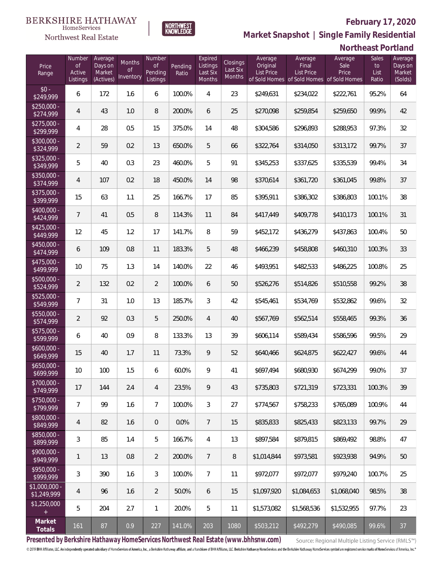#### **February 17, 2020**

**Northeast Portland** 



HomeServices

**Market Snapshot | Single Family Residential**

# **NORTHWEST**<br>KNOWLEDGE

| Price<br>Range               | Number<br>$\circ$ f<br>Active<br>Listings | Average<br>Days on<br>Market<br>(Actives) | Months<br><b>of</b><br>Inventory | <b>Number</b><br><b>of</b><br>Pending<br>Listings | Pending<br>Ratio | Expired<br>Listings<br>Last Six<br>Months | Closings<br>Last Six<br>Months | Average<br>Original<br>List Price<br>of Sold Homes | Average<br>Final<br><b>List Price</b><br>of Sold Homes of Sold Homes | Average<br>Sale<br>Price | <b>Sales</b><br>to<br>List<br>Ratio | Average<br>Days on<br>Market<br>(Solds) |
|------------------------------|-------------------------------------------|-------------------------------------------|----------------------------------|---------------------------------------------------|------------------|-------------------------------------------|--------------------------------|----------------------------------------------------|----------------------------------------------------------------------|--------------------------|-------------------------------------|-----------------------------------------|
| $$0 -$<br>\$249,999          | 6                                         | 172                                       | 1.6                              | 6                                                 | 100.0%           | 4                                         | 23                             | \$249,631                                          | \$234,022                                                            | \$222,761                | 95.2%                               | 64                                      |
| $$250,000 -$<br>\$274,999    | $\overline{4}$                            | 43                                        | 1.0                              | 8                                                 | 200.0%           | 6                                         | 25                             | \$270,098                                          | \$259,854                                                            | \$259,650                | 99.9%                               | 42                                      |
| $$275,000 -$<br>\$299,999    | 4                                         | 28                                        | 0.5                              | 15                                                | 375.0%           | 14                                        | 48                             | \$304,586                                          | \$296,893                                                            | \$288,953                | 97.3%                               | 32                                      |
| $$300,000 -$<br>\$324,999    | $\overline{2}$                            | 59                                        | 0.2                              | 13                                                | 650.0%           | 5                                         | 66                             | \$322,764                                          | \$314,050                                                            | \$313,172                | 99.7%                               | 37                                      |
| $$325,000 -$<br>\$349,999    | 5                                         | 40                                        | 0.3                              | 23                                                | 460.0%           | 5                                         | 91                             | \$345,253                                          | \$337,625                                                            | \$335,539                | 99.4%                               | 34                                      |
| $$350,000 -$<br>\$374,999    | $\overline{4}$                            | 107                                       | 0.2                              | 18                                                | 450.0%           | 14                                        | 98                             | \$370,614                                          | \$361,720                                                            | \$361,045                | 99.8%                               | 37                                      |
| $$375,000 -$<br>\$399,999    | 15                                        | 63                                        | 1.1                              | 25                                                | 166.7%           | 17                                        | 85                             | \$395,911                                          | \$386,302                                                            | \$386,803                | 100.1%                              | 38                                      |
| \$400,000 -<br>\$424,999     | $\overline{7}$                            | 41                                        | 0.5                              | 8                                                 | 114.3%           | 11                                        | 84                             | \$417,449                                          | \$409,778                                                            | \$410,173                | 100.1%                              | 31                                      |
| $$425,000 -$<br>\$449,999    | 12                                        | 45                                        | 1.2                              | 17                                                | 141.7%           | 8                                         | 59                             | \$452,172                                          | \$436,279                                                            | \$437,863                | 100.4%                              | 50                                      |
| $$450,000 -$<br>\$474,999    | 6                                         | 109                                       | 0.8                              | 11                                                | 183.3%           | 5                                         | 48                             | \$466,239                                          | \$458,808                                                            | \$460,310                | 100.3%                              | 33                                      |
| $$475,000 -$<br>\$499,999    | 10                                        | 75                                        | 1.3                              | 14                                                | 140.0%           | 22                                        | 46                             | \$493,951                                          | \$482,533                                                            | \$486,225                | 100.8%                              | 25                                      |
| $$500,000 -$<br>\$524,999    | $\overline{2}$                            | 132                                       | 0.2                              | $\overline{2}$                                    | 100.0%           | 6                                         | 50                             | \$526,276                                          | \$514,826                                                            | \$510,558                | 99.2%                               | 38                                      |
| $$525,000 -$<br>\$549,999    | $\overline{7}$                            | 31                                        | 1.0                              | 13                                                | 185.7%           | $\mathfrak{Z}$                            | 42                             | \$545,461                                          | \$534,769                                                            | \$532,862                | 99.6%                               | 32                                      |
| \$550,000 -<br>\$574,999     | $\overline{2}$                            | 92                                        | 0.3                              | 5                                                 | 250.0%           | $\overline{4}$                            | 40                             | \$567,769                                          | \$562,514                                                            | \$558,465                | 99.3%                               | 36                                      |
| $$575,000 -$<br>\$599,999    | 6                                         | 40                                        | 0.9                              | 8                                                 | 133.3%           | 13                                        | 39                             | \$606,114                                          | \$589,434                                                            | \$586,596                | 99.5%                               | 29                                      |
| $$600,000 -$<br>\$649,999    | 15                                        | 40                                        | 1.7                              | 11                                                | 73.3%            | 9                                         | 52                             | \$640,466                                          | \$624,875                                                            | \$622,427                | 99.6%                               | 44                                      |
| $$650,000 -$<br>\$699,999    | 10 <sup>°</sup>                           | 100                                       | 1.5                              | 6                                                 | 60.0%            | 9                                         | 41                             | \$697,494                                          | \$680,930                                                            | \$674,299                | 99.0%                               | 37                                      |
| \$700,000 -<br>\$749,999     | 17                                        | 144                                       | 2.4                              | $\overline{4}$                                    | 23.5%            | 9                                         | 43                             | \$735,803                                          | \$721,319                                                            | \$723,331                | 100.3%                              | 39                                      |
| \$750,000 -<br>\$799,999     | $\overline{7}$                            | 99                                        | 1.6                              | $7\overline{ }$                                   | 100.0%           | $\mathfrak{Z}$                            | 27                             | \$774,567                                          | \$758,233                                                            | \$765,089                | 100.9%                              | 44                                      |
| \$800,000 -<br>\$849,999     | 4                                         | 82                                        | 1.6                              | $\mathbf 0$                                       | 0.0%             | $\overline{7}$                            | 15                             | \$835,833                                          | \$825,433                                                            | \$823,133                | 99.7%                               | 29                                      |
| \$850,000 -<br>\$899,999     | $\mathfrak{Z}$                            | 85                                        | 1.4                              | 5                                                 | 166.7%           | 4                                         | 13                             | \$897,584                                          | \$879,815                                                            | \$869,492                | 98.8%                               | 47                                      |
| \$900,000 -<br>\$949,999     | $\mathbf{1}$                              | 13                                        | 0.8                              | $\overline{2}$                                    | 200.0%           | $7\overline{ }$                           | 8                              | \$1,014,844                                        | \$973,581                                                            | \$923,938                | 94.9%                               | $50\,$                                  |
| \$950,000 -<br>\$999,999     | $\mathfrak{Z}$                            | 390                                       | 1.6                              | $\mathfrak{Z}$                                    | 100.0%           | $7\overline{ }$                           | 11                             | \$972,077                                          | \$972,077                                                            | \$979,240                | 100.7%                              | 25                                      |
| \$1,000,000 -<br>\$1,249,999 | 4                                         | 96                                        | 1.6                              | $\overline{2}$                                    | 50.0%            | 6                                         | 15                             | \$1,097,920                                        | \$1,084,653                                                          | \$1,068,040              | 98.5%                               | 38                                      |
| \$1,250,000                  | 5                                         | 204                                       | 2.7                              | $\mathbf{1}$                                      | 20.0%            | 5                                         | 11                             | \$1,573,082                                        | \$1,568,536                                                          | \$1,532,955              | 97.7%                               | 23                                      |
| Market<br>Totals             | 161                                       | 87                                        | 0.9                              | 227                                               | 141.0%           | 203                                       | 1080                           | \$503,212                                          | \$492,279                                                            | \$490,085                | 99.6%                               | 37                                      |

**Presented by Berkshire Hathaway HomeServices Northwest Real Estate (www.bhhsnw.com)**

Source: Regional Multiple Listing Service (RMLS™)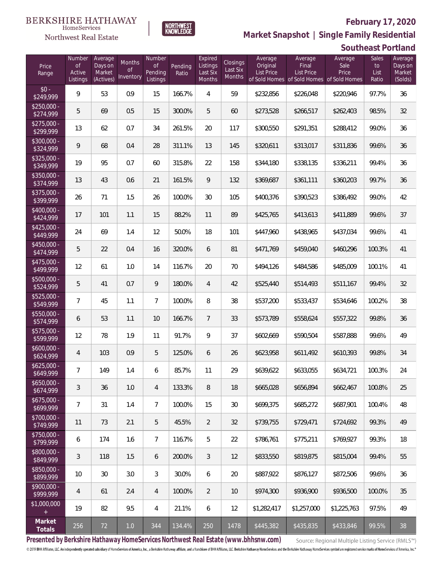#### **February 17, 2020**



 $\label{lem:sevices} \textsc{Home} \textsc{Service} \textsc{s}$ Northwest Real Estate

**Market Snapshot | Single Family Residential**

## **Southeast Portland**

| Price<br>Range            | Number<br><b>of</b><br>Active<br>Listings | Average<br>Days on<br>Market<br>(Actives) | <b>Months</b><br>$\circ$ f<br>Inventory | Number<br><b>of</b><br>Pending<br>Listings | Pending<br>Ratio | Expired<br>Listings<br>Last Six<br>Months | <b>Closings</b><br>Last Six<br>Months | Average<br>Original<br><b>List Price</b> | Average<br>Final<br><b>List Price</b><br>of Sold Homes of Sold Homes of Sold Homes | Average<br>Sale<br>Price | <b>Sales</b><br>to<br>List<br>Ratio | Average<br>Days on<br>Market<br>(Solds) |
|---------------------------|-------------------------------------------|-------------------------------------------|-----------------------------------------|--------------------------------------------|------------------|-------------------------------------------|---------------------------------------|------------------------------------------|------------------------------------------------------------------------------------|--------------------------|-------------------------------------|-----------------------------------------|
| $$0 -$<br>\$249,999       | 9                                         | 53                                        | 0.9                                     | 15                                         | 166.7%           | 4                                         | 59                                    | \$232,856                                | \$226,048                                                                          | \$220,946                | 97.7%                               | 36                                      |
| $$250,000 -$<br>\$274,999 | 5                                         | 69                                        | 0.5                                     | 15                                         | 300.0%           | 5                                         | 60                                    | \$273,528                                | \$266,517                                                                          | \$262,403                | 98.5%                               | 32                                      |
| $$275,000 -$<br>\$299,999 | 13                                        | 62                                        | 0.7                                     | 34                                         | 261.5%           | 20                                        | 117                                   | \$300,550                                | \$291,351                                                                          | \$288,412                | 99.0%                               | 36                                      |
| $$300,000 -$<br>\$324,999 | 9                                         | 68                                        | 0.4                                     | 28                                         | 311.1%           | 13                                        | 145                                   | \$320,611                                | \$313,017                                                                          | \$311,836                | 99.6%                               | 36                                      |
| $$325,000 -$<br>\$349,999 | 19                                        | 95                                        | 0.7                                     | 60                                         | 315.8%           | 22                                        | 158                                   | \$344,180                                | \$338,135                                                                          | \$336,211                | 99.4%                               | 36                                      |
| $$350,000 -$<br>\$374,999 | 13                                        | 43                                        | 0.6                                     | 21                                         | 161.5%           | 9                                         | 132                                   | \$369,687                                | \$361,111                                                                          | \$360,203                | 99.7%                               | 36                                      |
| $$375,000 -$<br>\$399,999 | 26                                        | 71                                        | 1.5                                     | 26                                         | 100.0%           | 30                                        | 105                                   | \$400,376                                | \$390,523                                                                          | \$386,492                | 99.0%                               | 42                                      |
| $$400,000 -$<br>\$424,999 | 17                                        | 101                                       | 1.1                                     | 15                                         | 88.2%            | 11                                        | 89                                    | \$425,765                                | \$413,613                                                                          | \$411,889                | 99.6%                               | 37                                      |
| $$425,000 -$<br>\$449,999 | 24                                        | 69                                        | 1.4                                     | 12                                         | 50.0%            | 18                                        | 101                                   | \$447,960                                | \$438,965                                                                          | \$437,034                | 99.6%                               | 41                                      |
| $$450,000 -$<br>\$474,999 | 5                                         | 22                                        | 0.4                                     | 16                                         | 320.0%           | 6                                         | 81                                    | \$471,769                                | \$459,040                                                                          | \$460,296                | 100.3%                              | 41                                      |
| $$475,000 -$<br>\$499,999 | 12                                        | 61                                        | 1.0                                     | 14                                         | 116.7%           | 20                                        | 70                                    | \$494,126                                | \$484,586                                                                          | \$485,009                | 100.1%                              | 41                                      |
| \$500,000 -<br>\$524,999  | 5                                         | 41                                        | 0.7                                     | 9                                          | 180.0%           | $\overline{4}$                            | 42                                    | \$525,440                                | \$514,493                                                                          | \$511,167                | 99.4%                               | 32                                      |
| $$525,000 -$<br>\$549,999 | $\overline{7}$                            | 45                                        | 1.1                                     | $\overline{7}$                             | 100.0%           | 8                                         | 38                                    | \$537,200                                | \$533,437                                                                          | \$534,646                | 100.2%                              | 38                                      |
| \$550,000 -<br>\$574,999  | 6                                         | 53                                        | 1.1                                     | 10                                         | 166.7%           | $\overline{7}$                            | 33                                    | \$573,789                                | \$558,624                                                                          | \$557,322                | 99.8%                               | 36                                      |
| $$575,000 -$<br>\$599,999 | 12                                        | 78                                        | 1.9                                     | 11                                         | 91.7%            | 9                                         | 37                                    | \$602,669                                | \$590,504                                                                          | \$587,888                | 99.6%                               | 49                                      |
| $$600,000 -$<br>\$624,999 | $\overline{4}$                            | 103                                       | 0.9                                     | 5                                          | 125.0%           | 6                                         | 26                                    | \$623,958                                | \$611,492                                                                          | \$610,393                | 99.8%                               | 34                                      |
| $$625,000 -$<br>\$649,999 | $\overline{7}$                            | 149                                       | 1.4                                     | 6                                          | 85.7%            | 11                                        | 29                                    | \$639,622                                | \$633,055                                                                          | \$634,721                | 100.3%                              | 24                                      |
| $$650,000 -$<br>\$674,999 | 3                                         | 36                                        | 1.0                                     | 4                                          | 133.3%           | 8                                         | 18                                    | \$665,028                                | \$656.894                                                                          | \$662,467                | 100.8%                              | 25                                      |
| $$675,000 -$<br>\$699,999 | $\overline{7}$                            | 31                                        | 1.4                                     | $7\overline{ }$                            | 100.0%           | 15                                        | 30                                    | \$699,375                                | \$685,272                                                                          | \$687,901                | 100.4%                              | 48                                      |
| $$700,000 -$<br>\$749,999 | 11                                        | 73                                        | 2.1                                     | 5                                          | 45.5%            | $\overline{2}$                            | 32                                    | \$739,755                                | \$729,471                                                                          | \$724,692                | 99.3%                               | 49                                      |
| $$750,000 -$<br>\$799,999 | 6                                         | 174                                       | 1.6                                     | $7\overline{ }$                            | 116.7%           | 5                                         | 22                                    | \$786,761                                | \$775,211                                                                          | \$769,927                | 99.3%                               | 18                                      |
| $$800,000 -$<br>\$849,999 | 3                                         | 118                                       | 1.5                                     | 6                                          | 200.0%           | 3                                         | 12                                    | \$833,550                                | \$819,875                                                                          | \$815,004                | 99.4%                               | 55                                      |
| \$850,000 -<br>\$899,999  | 10                                        | 30                                        | 3.0                                     | 3                                          | 30.0%            | 6                                         | 20                                    | \$887,922                                | \$876,127                                                                          | \$872,506                | 99.6%                               | 36                                      |
| $$900,000 -$<br>\$999,999 | $\overline{4}$                            | 61                                        | 2.4                                     | 4                                          | 100.0%           | $\overline{2}$                            | 10                                    | \$974,300                                | \$936,900                                                                          | \$936,500                | 100.0%                              | 35                                      |
| \$1,000,000<br>$+$        | 19                                        | 82                                        | 9.5                                     | 4                                          | 21.1%            | 6                                         | 12                                    | \$1,282,417                              | \$1,257,000                                                                        | \$1,225,763              | 97.5%                               | 49                                      |
| Market<br>Totals          | 256                                       | 72                                        | $1.0\,$                                 | 344                                        | 134.4%           | 250                                       | 1478                                  | \$445,382                                | \$435,835                                                                          | \$433,846                | 99.5%                               | 38                                      |

**Presented by Berkshire Hathaway HomeServices Northwest Real Estate (www.bhhsnw.com)**

Source: Regional Multiple Listing Service (RMLS™)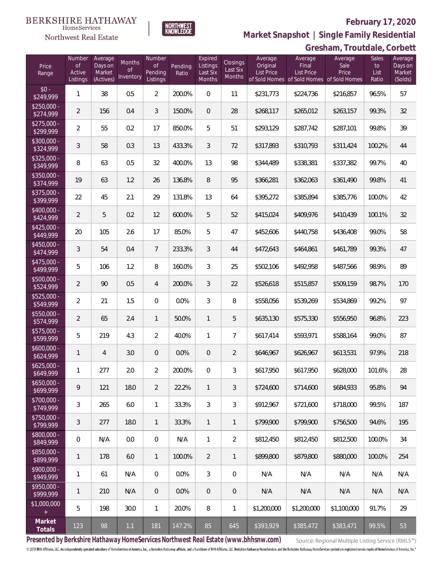### Northwest Real Estate

#### **February 17, 2020**



**Market Snapshot | Single Family Residential**

### **Gresham, Troutdale, Corbett**

| Price<br>Range            | Number<br><b>of</b><br>Active<br>Listings | Average<br>Days on<br>Market<br>(Actives) | Months<br>Οf<br>Inventory | Number<br><b>of</b><br>Pending<br>Listings | Pending<br>Ratio | Expired<br>Listings<br>Last Six<br>Months | Closings<br>Last Six<br>Months | Average<br>Original<br><b>List Price</b> | Average<br>Final<br><b>List Price</b><br>of Sold Homes of Sold Homes of Sold Homes | Average<br>Sale<br>Price | Sales<br>to<br>List<br>Ratio | Average<br>Days on<br>Market<br>(Solds) |
|---------------------------|-------------------------------------------|-------------------------------------------|---------------------------|--------------------------------------------|------------------|-------------------------------------------|--------------------------------|------------------------------------------|------------------------------------------------------------------------------------|--------------------------|------------------------------|-----------------------------------------|
| $$0 -$<br>\$249,999       | 1                                         | 38                                        | 0.5                       | $\overline{2}$                             | 200.0%           | $\Omega$                                  | 11                             | \$231,773                                | \$224,736                                                                          | \$216,857                | 96.5%                        | 57                                      |
| $$250,000 -$<br>\$274,999 | $\overline{2}$                            | 156                                       | 0.4                       | 3                                          | 150.0%           | $\overline{0}$                            | 28                             | \$268,117                                | \$265,012                                                                          | \$263,157                | 99.3%                        | 32                                      |
| $$275,000 -$<br>\$299,999 | $\overline{2}$                            | 55                                        | 0.2                       | 17                                         | 850.0%           | 5                                         | 51                             | \$293,129                                | \$287,742                                                                          | \$287,101                | 99.8%                        | 39                                      |
| $$300,000 -$<br>\$324,999 | 3                                         | 58                                        | 0.3                       | 13                                         | 433.3%           | 3                                         | 72                             | \$317,893                                | \$310,793                                                                          | \$311,424                | 100.2%                       | 44                                      |
| $$325,000 -$<br>\$349,999 | 8                                         | 63                                        | 0.5                       | 32                                         | 400.0%           | 13                                        | 98                             | \$344,489                                | \$338,381                                                                          | \$337,382                | 99.7%                        | 40                                      |
| $$350,000 -$<br>\$374,999 | 19                                        | 63                                        | 1.2                       | 26                                         | 136.8%           | 8                                         | 95                             | \$366,281                                | \$362,063                                                                          | \$361,490                | 99.8%                        | 41                                      |
| $$375,000 -$<br>\$399,999 | 22                                        | 45                                        | 2.1                       | 29                                         | 131.8%           | 13                                        | 64                             | \$395,272                                | \$385,894                                                                          | \$385,776                | 100.0%                       | 42                                      |
| $$400,000 -$<br>\$424,999 | $\overline{2}$                            | 5                                         | 0.2                       | 12                                         | 600.0%           | 5                                         | 52                             | \$415,024                                | \$409,976                                                                          | \$410,439                | 100.1%                       | 32                                      |
| $$425,000 -$<br>\$449,999 | 20                                        | 105                                       | 2.6                       | 17                                         | 85.0%            | 5                                         | 47                             | \$452,606                                | \$440,758                                                                          | \$436,408                | 99.0%                        | 58                                      |
| $$450,000 -$<br>\$474,999 | 3                                         | 54                                        | 0.4                       | $7\overline{ }$                            | 233.3%           | 3                                         | 44                             | \$472,643                                | \$464,861                                                                          | \$461,789                | 99.3%                        | 47                                      |
| $$475,000 -$<br>\$499,999 | 5                                         | 106                                       | 1.2                       | 8                                          | 160.0%           | 3                                         | 25                             | \$502,106                                | \$492,958                                                                          | \$487,566                | 98.9%                        | 89                                      |
| \$500,000 -<br>\$524,999  | $\overline{2}$                            | 90                                        | 0.5                       | $\overline{4}$                             | 200.0%           | 3                                         | 22                             | \$526,618                                | \$515,857                                                                          | \$509,159                | 98.7%                        | 170                                     |
| \$525,000 -<br>\$549,999  | $\overline{2}$                            | 21                                        | 1.5                       | $\overline{0}$                             | 0.0%             | 3                                         | 8                              | \$558,056                                | \$539,269                                                                          | \$534,869                | 99.2%                        | 97                                      |
| \$550,000 -<br>\$574,999  | $\overline{2}$                            | 65                                        | 2.4                       | $\mathbf{1}$                               | 50.0%            | $\mathbf{1}$                              | 5                              | \$635,130                                | \$575,330                                                                          | \$556,950                | 96.8%                        | 223                                     |
| $$575,000 -$<br>\$599,999 | 5                                         | 219                                       | 4.3                       | $\overline{2}$                             | 40.0%            | $\mathbf{1}$                              | $\overline{7}$                 | \$617,414                                | \$593,971                                                                          | \$588,164                | 99.0%                        | 87                                      |
| $$600,000 -$<br>\$624,999 | 1                                         | 4                                         | 3.0                       | $\overline{0}$                             | 0.0%             | $\overline{0}$                            | $\overline{2}$                 | \$646,967                                | \$626,967                                                                          | \$613,531                | 97.9%                        | 218                                     |
| $$625,000 -$<br>\$649,999 | 1                                         | 277                                       | 2.0                       | $\overline{2}$                             | 200.0%           | 0                                         | 3                              | \$617,950                                | \$617,950                                                                          | \$628,000                | 101.6%                       | 28                                      |
| $$650,000 -$<br>\$699,999 | 9                                         | 121                                       | 18.0                      | $\overline{2}$                             | 22.2%            | $\mathbf{1}$                              | 3                              | \$724,600                                | \$714,600                                                                          | \$684,933                | 95.8%                        | 94                                      |
| $$700,000 -$<br>\$749,999 | 3                                         | 265                                       | 6.0                       | $\mathbf{1}$                               | 33.3%            | 3                                         | 3                              | \$912,967                                | \$721,600                                                                          | \$718,000                | 99.5%                        | 187                                     |
| \$750,000 -<br>\$799,999  | $\mathfrak{Z}$                            | 277                                       | 18.0                      | $\overline{1}$                             | 33.3%            | $\mathbf{1}$                              | $\mathbf{1}$                   | \$799,900                                | \$799,900                                                                          | \$756.500                | 94.6%                        | 195                                     |
| \$800,000 -<br>\$849,999  | $\mathbf 0$                               | N/A                                       | 0.0                       | $\overline{0}$                             | N/A              | $\mathbf{1}$                              | $\overline{2}$                 | \$812,450                                | \$812,450                                                                          | \$812,500                | 100.0%                       | 34                                      |
| \$850,000 -<br>\$899,999  | $\mathbf{1}$                              | 178                                       | 6.0                       | $\overline{1}$                             | 100.0%           | $\overline{2}$                            | $\mathbf{1}$                   | \$899,800                                | \$879,800                                                                          | \$880,000                | 100.0%                       | 254                                     |
| $$900,000 -$<br>\$949,999 | 1                                         | 61                                        | N/A                       | $\overline{0}$                             | 0.0%             | 3                                         | $\mathbf 0$                    | N/A                                      | N/A                                                                                | N/A                      | N/A                          | N/A                                     |
| $$950,000 -$<br>\$999,999 | $\mathbf{1}$                              | 210                                       | N/A                       | $\overline{0}$                             | 0.0%             | $\mathbf 0$                               | $\mathbf 0$                    | N/A                                      | N/A                                                                                | N/A                      | N/A                          | N/A                                     |
| \$1,000,000<br>$+$        | 5                                         | 198                                       | 30.0                      | $\mathbf{1}$                               | 20.0%            | 8                                         | 1                              | \$1,200,000                              | \$1,200,000                                                                        | \$1,100,000              | 91.7%                        | 29                                      |
| Market<br>Totals          | 123                                       | 98                                        | 1.1                       | 181                                        | 147.2%           | 85                                        | 645                            | \$393,929                                | \$385,472                                                                          | \$383,471                | 99.5%                        | 53                                      |

**Presented by Berkshire Hathaway HomeServices Northwest Real Estate (www.bhhsnw.com)**

Source: Regional Multiple Listing Service (RMLS™)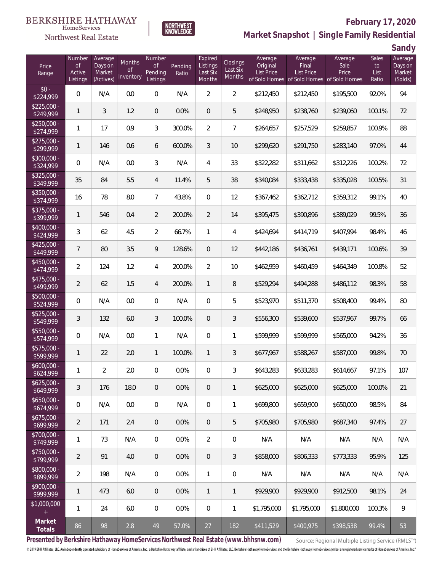



### **February 17, 2020**

**Market Snapshot | Single Family Residential**

**Sandy**

|                                   |                                           |                                           |                                         |                                            |                  |                                           |                                              |                                          |                                                               |                                           |                                     | uu iy                                   |
|-----------------------------------|-------------------------------------------|-------------------------------------------|-----------------------------------------|--------------------------------------------|------------------|-------------------------------------------|----------------------------------------------|------------------------------------------|---------------------------------------------------------------|-------------------------------------------|-------------------------------------|-----------------------------------------|
| Price<br>Range                    | Number<br><b>of</b><br>Active<br>Listings | Average<br>Days on<br>Market<br>(Actives) | <b>Months</b><br><b>of</b><br>Inventory | Number<br><b>of</b><br>Pending<br>Listings | Pending<br>Ratio | Expired<br>Listings<br>Last Six<br>Months | <b>Closings</b><br>Last Six<br><b>Months</b> | Average<br>Original<br><b>List Price</b> | Average<br>Final<br>List Price<br>of Sold Homes of Sold Homes | Average<br>Sale<br>Price<br>of Sold Homes | <b>Sales</b><br>to<br>List<br>Ratio | Average<br>Days on<br>Market<br>(Solds) |
| $$0 -$<br>\$224,999               | $\mathbf 0$                               | N/A                                       | 0.0                                     | $\mathbf 0$                                | N/A              | $\overline{2}$                            | $\overline{2}$                               | \$212,450                                | \$212,450                                                     | \$195,500                                 | 92.0%                               | 94                                      |
| $$225,000 -$<br>\$249,999         | 1                                         | 3                                         | 1.2                                     | $\overline{0}$                             | 0.0%             | $\boldsymbol{0}$                          | 5                                            | \$248,950                                | \$238,760                                                     | \$239,060                                 | 100.1%                              | 72                                      |
| $$250,000 -$<br>\$274,999         | 1                                         | 17                                        | 0.9                                     | 3                                          | 300.0%           | $\overline{2}$                            | $\overline{7}$                               | \$264,657                                | \$257,529                                                     | \$259,857                                 | 100.9%                              | 88                                      |
| $$275,000 -$<br>\$299,999         | 1                                         | 146                                       | 0.6                                     | 6                                          | 600.0%           | $\mathfrak{Z}$                            | 10                                           | \$299,620                                | \$291,750                                                     | \$283,140                                 | 97.0%                               | 44                                      |
| $$300,000 -$<br>\$324,999         | $\mathbf 0$                               | N/A                                       | 0.0                                     | 3                                          | N/A              | $\overline{4}$                            | 33                                           | \$322,282                                | \$311,662                                                     | \$312,226                                 | 100.2%                              | 72                                      |
| $$325,000 -$<br>\$349,999         | $35\,$                                    | 84                                        | 5.5                                     | 4                                          | 11.4%            | 5                                         | 38                                           | \$340,084                                | \$333,438                                                     | \$335,028                                 | 100.5%                              | 31                                      |
| $$350,000 -$<br>\$374,999         | 16                                        | 78                                        | 8.0                                     | $\overline{7}$                             | 43.8%            | $\boldsymbol{0}$                          | 12                                           | \$367,462                                | \$362,712                                                     | \$359,312                                 | 99.1%                               | 40                                      |
| \$375,000 -<br>\$399,999          | 1                                         | 546                                       | 0.4                                     | $\overline{2}$                             | 200.0%           | $\overline{2}$                            | 14                                           | \$395,475                                | \$390,896                                                     | \$389,029                                 | 99.5%                               | 36                                      |
| $$400,000 -$<br>\$424,999         | 3                                         | 62                                        | 4.5                                     | $\overline{2}$                             | 66.7%            | $\mathbf{1}$                              | 4                                            | \$424,694                                | \$414,719                                                     | \$407,994                                 | 98.4%                               | 46                                      |
| $$425,000 -$<br>\$449,999         | $\overline{7}$                            | 80                                        | 3.5                                     | 9                                          | 128.6%           | $\mathbf 0$                               | 12                                           | \$442,186                                | \$436,761                                                     | \$439,171                                 | 100.6%                              | 39                                      |
| $$450,000 -$<br>$\sqrt{$474,999}$ | $\overline{2}$                            | 124                                       | 1.2                                     | 4                                          | 200.0%           | $\overline{2}$                            | 10                                           | \$462,959                                | \$460,459                                                     | \$464,349                                 | 100.8%                              | 52                                      |
| $$475,000 -$<br>\$499,999         | $\overline{2}$                            | 62                                        | 1.5                                     | 4                                          | 200.0%           | $\mathbf{1}$                              | 8                                            | \$529,294                                | \$494,288                                                     | \$486,112                                 | 98.3%                               | 58                                      |
| $$500,000 -$<br>\$524,999         | $\mathbf 0$                               | N/A                                       | 0.0                                     | $\overline{0}$                             | N/A              | $\boldsymbol{0}$                          | 5                                            | \$523,970                                | \$511,370                                                     | \$508,400                                 | 99.4%                               | 80                                      |
| $$525,000 -$<br>\$549,999         | 3                                         | 132                                       | 6.0                                     | 3                                          | 100.0%           | $\mathbf 0$                               | 3                                            | \$556,300                                | \$539,600                                                     | \$537,967                                 | 99.7%                               | 66                                      |
| $$550,000 -$<br>\$574,999         | $\mathbf 0$                               | N/A                                       | 0.0                                     | $\mathbf{1}$                               | N/A              | $\boldsymbol{0}$                          | 1                                            | \$599,999                                | \$599,999                                                     | \$565,000                                 | 94.2%                               | 36                                      |
| $$575,000 -$<br>\$599,999         | 1                                         | 22                                        | 2.0                                     | $\mathbf{1}$                               | 100.0%           | $\mathbf{1}$                              | 3                                            | \$677,967                                | \$588,267                                                     | \$587,000                                 | 99.8%                               | 70                                      |
| $$600,000 -$<br>\$624,999         | 1                                         | 2                                         | 2.0                                     | 0                                          | 0.0%             | $\overline{0}$                            | 3                                            | \$643,283                                | \$633,283                                                     | \$614,667                                 | 97.1%                               | 107                                     |
| $$625,000 -$<br>\$649,999         | 3                                         | 176                                       | 18.0                                    | $\mathbf 0$                                | 0.0%             | $\mathbf 0$                               | $\mathbf{1}$                                 | \$625,000                                | \$625,000                                                     | \$625,000                                 | 100.0%                              | 21                                      |
| $$650,000 -$<br>\$674,999         | $\mathbf 0$                               | N/A                                       | 0.0                                     | $\mathbf 0$                                | N/A              | $\mathbf 0$                               | 1                                            | \$699,800                                | \$659,900                                                     | \$650,000                                 | 98.5%                               | 84                                      |
| $$675,000 -$<br>\$699,999         | $\overline{2}$                            | 171                                       | 2.4                                     | $\mathbf 0$                                | 0.0%             | $\mathbf 0$                               | 5                                            | \$705,980                                | \$705,980                                                     | \$687,340                                 | 97.4%                               | 27                                      |
| $$700,000 -$<br>\$749,999         | 1                                         | 73                                        | N/A                                     | $\mathbf 0$                                | 0.0%             | $\overline{2}$                            | 0                                            | N/A                                      | N/A                                                           | N/A                                       | N/A                                 | N/A                                     |
| $$750,000 -$<br>\$799,999         | $\overline{2}$                            | 91                                        | 4.0                                     | $\mathbf 0$                                | 0.0%             | $\mathbf 0$                               | $\mathfrak{Z}$                               | \$858,000                                | \$806,333                                                     | \$773,333                                 | 95.9%                               | 125                                     |
| $$800,000 -$<br>\$899,999         | $\overline{2}$                            | 198                                       | N/A                                     | $\overline{0}$                             | 0.0%             | $\mathbf{1}$                              | 0                                            | N/A                                      | N/A                                                           | N/A                                       | N/A                                 | N/A                                     |
| $$900,000 -$<br>\$999,999         | 1                                         | 473                                       | 6.0                                     | $\mathbf 0$                                | 0.0%             | $\mathbf{1}$                              | $\mathbf{1}$                                 | \$929,900                                | \$929,900                                                     | \$912,500                                 | 98.1%                               | 24                                      |
| \$1,000,000<br>$\pm$              | 1                                         | 24                                        | 6.0                                     | $\mathbf 0$                                | 0.0%             | $\mathbf 0$                               | 1                                            | \$1,795,000                              | \$1,795,000                                                   | \$1,800,000                               | 100.3%                              | 9                                       |
| Market<br>Totals                  | 86                                        | 98                                        | 2.8                                     | 49                                         | 57.0%            | 27                                        | 182                                          | \$411,529                                | \$400,975                                                     | \$398,538                                 | 99.4%                               | 53                                      |

**Presented by Berkshire Hathaway HomeServices Northwest Real Estate (www.bhhsnw.com)**

Source: Regional Multiple Listing Service (RMLS™)